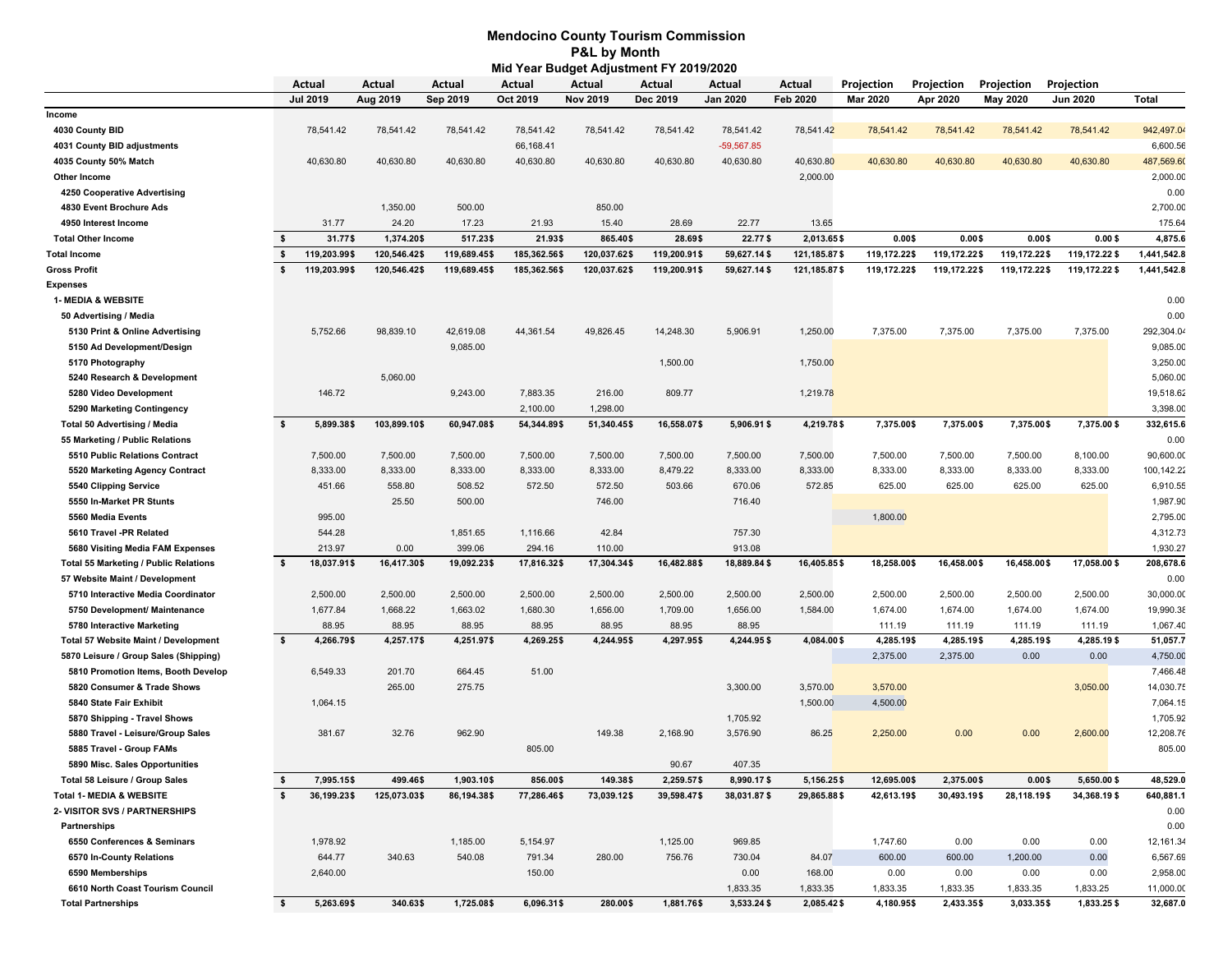## **Mid Year Budget Adjustment FY 2019/2020 P&L by Month Mendocino County Tourism Commission**

|                                              |          | Actual          | Actual       | Actual       | Actual       | Actual          | Actual       | Actual          | Actual          | Projection      | Projection   | Projection      | Projection      |             |
|----------------------------------------------|----------|-----------------|--------------|--------------|--------------|-----------------|--------------|-----------------|-----------------|-----------------|--------------|-----------------|-----------------|-------------|
|                                              |          | <b>Jul 2019</b> | Aug 2019     | Sep 2019     | Oct 2019     | <b>Nov 2019</b> | Dec 2019     | <b>Jan 2020</b> | <b>Feb 2020</b> | <b>Mar 2020</b> | Apr 2020     | <b>May 2020</b> | <b>Jun 2020</b> | Total       |
| Income                                       |          |                 |              |              |              |                 |              |                 |                 |                 |              |                 |                 |             |
| 4030 County BID                              |          | 78,541.42       | 78,541.42    | 78,541.42    | 78,541.42    | 78,541.42       | 78,541.42    | 78,541.42       | 78,541.42       | 78,541.42       | 78,541.42    | 78,541.42       | 78,541.42       | 942,497.04  |
| 4031 County BID adjustments                  |          |                 |              |              | 66,168.41    |                 |              | $-59,567.85$    |                 |                 |              |                 |                 | 6,600.56    |
| 4035 County 50% Match                        |          | 40,630.80       | 40,630.80    | 40,630.80    | 40,630.80    | 40,630.80       | 40,630.80    | 40,630.80       | 40,630.80       | 40,630.80       | 40,630.80    | 40,630.80       | 40,630.80       | 487,569.60  |
| Other Income                                 |          |                 |              |              |              |                 |              |                 | 2,000.00        |                 |              |                 |                 | 2,000.00    |
| 4250 Cooperative Advertising                 |          |                 |              |              |              |                 |              |                 |                 |                 |              |                 |                 | 0.00        |
| 4830 Event Brochure Ads                      |          |                 | 1,350.00     | 500.00       |              | 850.00          |              |                 |                 |                 |              |                 |                 | 2,700.00    |
| 4950 Interest Income                         |          | 31.77           | 24.20        | 17.23        | 21.93        | 15.40           | 28.69        | 22.77           | 13.65           |                 |              |                 |                 | 175.64      |
| <b>Total Other Income</b>                    | \$       | 31.77\$         | 1,374.20\$   | 517.23\$     | 21.93\$      | 865.40\$        | 28.69\$      | 22.77\$         | 2.013.65\$      | 0.00\$          | 0.00\$       | 0.00\$          | 0.00\$          | 4,875.6     |
| <b>Total Income</b>                          | \$       | 119,203.99\$    | 120,546.42\$ | 119,689.45\$ | 185,362.56\$ | 120,037.62\$    | 119,200.91\$ | 59,627.14\$     | 121, 185.87\$   | 119,172.22\$    | 119,172.22\$ | 119,172.22\$    | 119,172.22 \$   | 1,441,542.8 |
| Gross Profit                                 | s.       | 119,203.99\$    | 120,546.42\$ | 119,689.45\$ | 185,362.56\$ | 120,037.62\$    | 119,200.91\$ | 59,627.14\$     | 121, 185.87\$   | 119,172.22\$    | 119,172.22\$ | 119,172.22\$    | 119,172.22 \$   | 1,441,542.8 |
| <b>Expenses</b>                              |          |                 |              |              |              |                 |              |                 |                 |                 |              |                 |                 |             |
| <b>1- MEDIA &amp; WEBSITE</b>                |          |                 |              |              |              |                 |              |                 |                 |                 |              |                 |                 | 0.00        |
| 50 Advertising / Media                       |          |                 |              |              |              |                 |              |                 |                 |                 |              |                 |                 | 0.00        |
| 5130 Print & Online Advertising              |          | 5,752.66        | 98,839.10    | 42,619.08    | 44,361.54    | 49,826.45       | 14,248.30    | 5,906.91        | 1,250.00        | 7,375.00        | 7,375.00     | 7,375.00        | 7,375.00        | 292,304.04  |
| 5150 Ad Development/Design                   |          |                 |              | 9,085.00     |              |                 |              |                 |                 |                 |              |                 |                 | 9,085.00    |
| 5170 Photography                             |          |                 |              |              |              |                 | 1,500.00     |                 | 1,750.00        |                 |              |                 |                 | 3,250.00    |
| 5240 Research & Development                  |          |                 | 5,060.00     |              |              |                 |              |                 |                 |                 |              |                 |                 | 5,060.00    |
| 5280 Video Development                       |          | 146.72          |              | 9,243.00     | 7,883.35     | 216.00          | 809.77       |                 | 1,219.78        |                 |              |                 |                 | 19,518.62   |
| 5290 Marketing Contingency                   |          |                 |              |              | 2,100.00     | 1,298.00        |              |                 |                 |                 |              |                 |                 | 3,398.00    |
| <b>Total 50 Advertising / Media</b>          | <b>s</b> | 5,899.38\$      | 103,899.10\$ | 60,947.08\$  | 54,344.89\$  | 51,340.45\$     | 16,558.07\$  | 5,906.91\$      | 4,219.78\$      | 7,375.00\$      | 7,375.00\$   | 7,375.00\$      | 7,375.00\$      | 332,615.6   |
| 55 Marketing / Public Relations              |          |                 |              |              |              |                 |              |                 |                 |                 |              |                 |                 | 0.00        |
| 5510 Public Relations Contract               |          | 7,500.00        | 7,500.00     | 7,500.00     | 7,500.00     | 7,500.00        | 7,500.00     | 7,500.00        | 7,500.00        | 7,500.00        | 7,500.00     | 7,500.00        | 8,100.00        | 90,600.00   |
| 5520 Marketing Agency Contract               |          | 8,333.00        | 8,333.00     | 8,333.00     | 8,333.00     | 8,333.00        | 8,479.22     | 8,333.00        | 8,333.00        | 8,333.00        | 8,333.00     | 8,333.00        | 8,333.00        | 100,142.22  |
| 5540 Clipping Service                        |          | 451.66          | 558.80       | 508.52       | 572.50       | 572.50          | 503.66       | 670.06          | 572.85          | 625.00          | 625.00       | 625.00          | 625.00          | 6,910.55    |
| 5550 In-Market PR Stunts                     |          |                 | 25.50        | 500.00       |              | 746.00          |              | 716.40          |                 |                 |              |                 |                 | 1,987.90    |
|                                              |          |                 |              |              |              |                 |              |                 |                 |                 |              |                 |                 |             |
| 5560 Media Events                            |          | 995.00          |              |              |              |                 |              |                 |                 | 1,800.00        |              |                 |                 | 2,795.00    |
| 5610 Travel -PR Related                      |          | 544.28          |              | 1,851.65     | 1,116.66     | 42.84           |              | 757.30          |                 |                 |              |                 |                 | 4,312.73    |
| 5680 Visiting Media FAM Expenses             |          | 213.97          | 0.00         | 399.06       | 294.16       | 110.00          |              | 913.08          |                 |                 |              |                 |                 | 1,930.27    |
| <b>Total 55 Marketing / Public Relations</b> | -S       | 18,037.91\$     | 16,417.30\$  | 19,092.23\$  | 17,816.32\$  | 17,304.34\$     | 16,482.88\$  | 18,889.84\$     | 16,405.85\$     | 18,258.00\$     | 16,458.00\$  | 16,458.00\$     | 17,058.00 \$    | 208,678.6   |
| 57 Website Maint / Development               |          |                 |              |              |              |                 |              |                 |                 |                 |              |                 |                 | 0.00        |
| 5710 Interactive Media Coordinator           |          | 2,500.00        | 2,500.00     | 2,500.00     | 2,500.00     | 2,500.00        | 2,500.00     | 2,500.00        | 2,500.00        | 2,500.00        | 2,500.00     | 2,500.00        | 2,500.00        | 30,000.00   |
| 5750 Development/ Maintenance                |          | 1,677.84        | 1,668.22     | 1,663.02     | 1,680.30     | 1,656.00        | 1,709.00     | 1,656.00        | 1,584.00        | 1,674.00        | 1,674.00     | 1,674.00        | 1,674.00        | 19,990.38   |
| 5780 Interactive Marketing                   |          | 88.95           | 88.95        | 88.95        | 88.95        | 88.95           | 88.95        | 88.95           |                 | 111.19          | 111.19       | 111.19          | 111.19          | 1,067.40    |
| Total 57 Website Maint / Development         | s.       | 4,266.79\$      | 4,257.17\$   | 4,251.97\$   | 4,269.25\$   | 4,244.95\$      | 4,297.95\$   | 4,244.95\$      | 4,084.00\$      | 4,285.19\$      | 4,285.19\$   | 4,285.19\$      | 4,285.19\$      | 51,057.7    |
| 5870 Leisure / Group Sales (Shipping)        |          |                 |              |              |              |                 |              |                 |                 | 2,375.00        | 2,375.00     | 0.00            | 0.00            | 4,750.00    |
| 5810 Promotion Items, Booth Develop          |          | 6,549.33        | 201.70       | 664.45       | 51.00        |                 |              |                 |                 |                 |              |                 |                 | 7,466.48    |
| 5820 Consumer & Trade Shows                  |          |                 | 265.00       | 275.75       |              |                 |              | 3,300.00        | 3,570.00        | 3,570.00        |              |                 | 3,050.00        | 14,030.75   |
| 5840 State Fair Exhibit                      |          | 1,064.15        |              |              |              |                 |              |                 | 1,500.00        | 4,500.00        |              |                 |                 | 7,064.15    |
| 5870 Shipping - Travel Shows                 |          |                 |              |              |              |                 |              | 1,705.92        |                 |                 |              |                 |                 | 1,705.92    |
| 5880 Travel - Leisure/Group Sales            |          | 381.67          | 32.76        | 962.90       |              | 149.38          | 2,168.90     | 3,576.90        | 86.25           | 2,250.00        | 0.00         | 0.00            | 2,600.00        | 12,208.76   |
| 5885 Travel - Group FAMs                     |          |                 |              |              | 805.00       |                 |              |                 |                 |                 |              |                 |                 | 805.00      |
| 5890 Misc. Sales Opportunities               |          |                 |              |              |              |                 | 90.67        | 407.35          |                 |                 |              |                 |                 |             |
| Total 58 Leisure / Group Sales               | -\$      | 7,995.15\$      | 499.46\$     | 1,903.10\$   | 856.00\$     | 149.38\$        | 2,259.57\$   | 8,990.17\$      | 5,156.25\$      | 12,695.00\$     | 2,375.00\$   | 0.00\$          | 5,650.00\$      | 48,529.0    |
| <b>Total 1- MEDIA &amp; WEBSITE</b>          | <b>s</b> | 36,199.23\$     | 125,073.03\$ | 86,194.38\$  | 77,286.46\$  | 73,039.12\$     | 39,598.47\$  | 38,031.87\$     | 29,865.88\$     | 42,613.19\$     | 30,493.19\$  | 28,118.19\$     | 34,368.19\$     | 640,881.1   |
| 2- VISITOR SVS / PARTNERSHIPS                |          |                 |              |              |              |                 |              |                 |                 |                 |              |                 |                 | 0.00        |
| Partnerships                                 |          |                 |              |              |              |                 |              |                 |                 |                 |              |                 |                 | 0.00        |
| 6550 Conferences & Seminars                  |          | 1,978.92        |              | 1,185.00     | 5,154.97     |                 | 1,125.00     | 969.85          |                 | 1,747.60        | 0.00         | 0.00            | 0.00            | 12,161.34   |
| 6570 In-County Relations                     |          | 644.77          | 340.63       | 540.08       | 791.34       | 280.00          | 756.76       | 730.04          | 84.07           | 600.00          | 600.00       | 1,200.00        | 0.00            | 6,567.69    |
| 6590 Memberships                             |          | 2,640.00        |              |              | 150.00       |                 |              | 0.00            | 168.00          | 0.00            | 0.00         | 0.00            | 0.00            | 2,958.00    |
| 6610 North Coast Tourism Council             |          |                 |              |              |              |                 |              | 1,833.35        | 1,833.35        | 1,833.35        | 1,833.35     | 1,833.35        | 1,833.25        | 11,000.00   |
|                                              |          |                 |              |              |              |                 |              |                 |                 |                 |              |                 |                 |             |
| <b>Total Partnerships</b>                    | \$       | 5,263.69\$      | 340.63\$     | 1,725.08\$   | 6,096.31\$   | 280.00\$        | 1,881.76\$   | 3,533.24\$      | 2,085.42\$      | 4,180.95\$      | 2,433.35\$   | 3,033.35\$      | 1,833.25\$      | 32,687.0    |